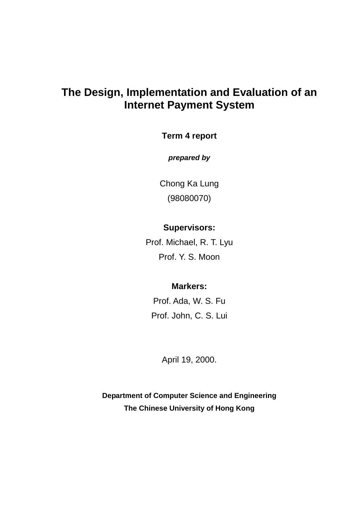# **The Design, Implementation and Evaluation of an Internet Payment System**

### **Term 4 report**

**prepared by**

Chong Ka Lung (98080070)

## **Supervisors:**

Prof. Michael, R. T. Lyu Prof. Y. S. Moon

### **Markers:**

Prof. Ada, W. S. Fu Prof. John, C. S. Lui

April 19, 2000.

**Department of Computer Science and Engineering The Chinese University of Hong Kong**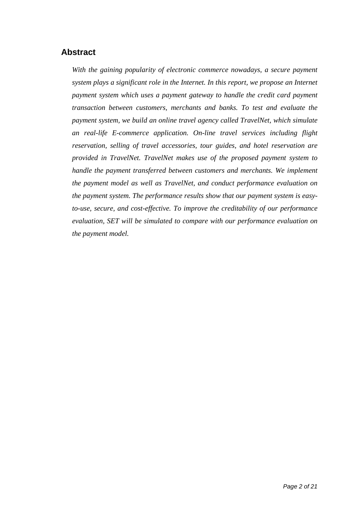## **Abstract**

*With the gaining popularity of electronic commerce nowadays, a secure payment system plays a significant role in the Internet. In this report, we propose an Internet payment system which uses a payment gateway to handle the credit card payment transaction between customers, merchants and banks. To test and evaluate the payment system, we build an online travel agency called TravelNet, which simulate an real-life E-commerce application. On-line travel services including flight reservation, selling of travel accessories, tour guides, and hotel reservation are provided in TravelNet. TravelNet makes use of the proposed payment system to handle the payment transferred between customers and merchants. We implement the payment model as well as TravelNet, and conduct performance evaluation on the payment system. The performance results show that our payment system is easyto-use, secure, and cost-effective. To improve the creditability of our performance evaluation, SET will be simulated to compare with our performance evaluation on the payment model.*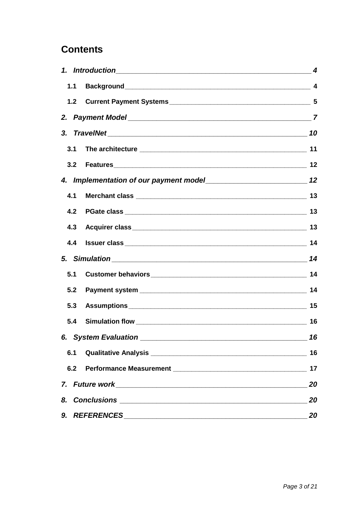# **Contents**

|     |                      | $\boldsymbol{4}$ |
|-----|----------------------|------------------|
| 1.1 |                      |                  |
| 1.2 |                      |                  |
|     |                      |                  |
|     |                      |                  |
| 3.1 |                      |                  |
| 3.2 |                      |                  |
|     |                      |                  |
| 4.1 |                      |                  |
| 4.2 |                      |                  |
| 4.3 |                      |                  |
| 4.4 |                      |                  |
|     | 5. Simulation 14     |                  |
| 5.1 |                      |                  |
| 5.2 |                      |                  |
| 5.3 |                      |                  |
| 5.4 |                      |                  |
|     | 6. System Evaluation | 16               |
| 6.1 |                      | 16               |
| 6.2 |                      | 17               |
|     |                      | 20               |
| 20  |                      |                  |
|     |                      | 20               |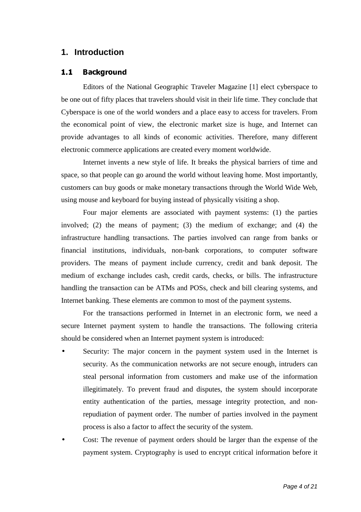### **1. Introduction**

### -- 
-

Editors of the National Geographic Traveler Magazine [1] elect cyberspace to be one out of fifty places that travelers should visit in their life time. They conclude that Cyberspace is one of the world wonders and a place easy to access for travelers. From the economical point of view, the electronic market size is huge, and Internet can provide advantages to all kinds of economic activities. Therefore, many different electronic commerce applications are created every moment worldwide.

Internet invents a new style of life. It breaks the physical barriers of time and space, so that people can go around the world without leaving home. Most importantly, customers can buy goods or make monetary transactions through the World Wide Web, using mouse and keyboard for buying instead of physically visiting a shop.

Four major elements are associated with payment systems: (1) the parties involved; (2) the means of payment; (3) the medium of exchange; and (4) the infrastructure handling transactions. The parties involved can range from banks or financial institutions, individuals, non-bank corporations, to computer software providers. The means of payment include currency, credit and bank deposit. The medium of exchange includes cash, credit cards, checks, or bills. The infrastructure handling the transaction can be ATMs and POSs, check and bill clearing systems, and Internet banking. These elements are common to most of the payment systems.

For the transactions performed in Internet in an electronic form, we need a secure Internet payment system to handle the transactions. The following criteria should be considered when an Internet payment system is introduced:

- Security: The major concern in the payment system used in the Internet is security. As the communication networks are not secure enough, intruders can steal personal information from customers and make use of the information illegitimately. To prevent fraud and disputes, the system should incorporate entity authentication of the parties, message integrity protection, and nonrepudiation of payment order. The number of parties involved in the payment process is also a factor to affect the security of the system.
- Cost: The revenue of payment orders should be larger than the expense of the payment system. Cryptography is used to encrypt critical information before it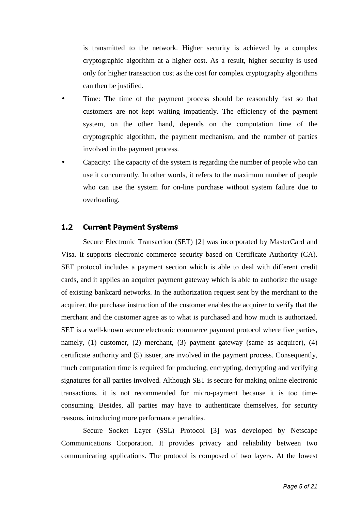is transmitted to the network. Higher security is achieved by a complex cryptographic algorithm at a higher cost. As a result, higher security is used only for higher transaction cost as the cost for complex cryptography algorithms can then be justified.

- Time: The time of the payment process should be reasonably fast so that customers are not kept waiting impatiently. The efficiency of the payment system, on the other hand, depends on the computation time of the cryptographic algorithm, the payment mechanism, and the number of parties involved in the payment process.
- Capacity: The capacity of the system is regarding the number of people who can use it concurrently. In other words, it refers to the maximum number of people who can use the system for on-line purchase without system failure due to overloading.

#### - !"#%\$!&'-"(&

Secure Electronic Transaction (SET) [2] was incorporated by MasterCard and Visa. It supports electronic commerce security based on Certificate Authority (CA). SET protocol includes a payment section which is able to deal with different credit cards, and it applies an acquirer payment gateway which is able to authorize the usage of existing bankcard networks. In the authorization request sent by the merchant to the acquirer, the purchase instruction of the customer enables the acquirer to verify that the merchant and the customer agree as to what is purchased and how much is authorized. SET is a well-known secure electronic commerce payment protocol where five parties, namely, (1) customer, (2) merchant, (3) payment gateway (same as acquirer), (4) certificate authority and (5) issuer, are involved in the payment process. Consequently, much computation time is required for producing, encrypting, decrypting and verifying signatures for all parties involved. Although SET is secure for making online electronic transactions, it is not recommended for micro-payment because it is too timeconsuming. Besides, all parties may have to authenticate themselves, for security reasons, introducing more performance penalties.

Secure Socket Layer (SSL) Protocol [3] was developed by Netscape Communications Corporation. It provides privacy and reliability between two communicating applications. The protocol is composed of two layers. At the lowest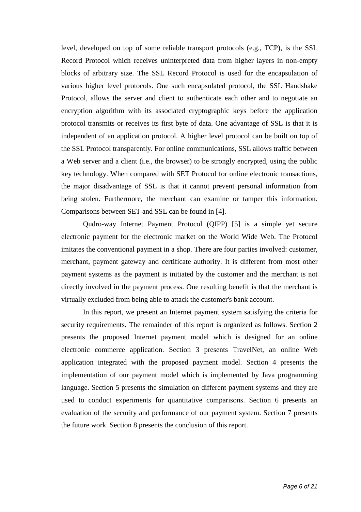level, developed on top of some reliable transport protocols (e.g., TCP), is the SSL Record Protocol which receives uninterpreted data from higher layers in non-empty blocks of arbitrary size. The SSL Record Protocol is used for the encapsulation of various higher level protocols. One such encapsulated protocol, the SSL Handshake Protocol, allows the server and client to authenticate each other and to negotiate an encryption algorithm with its associated cryptographic keys before the application protocol transmits or receives its first byte of data. One advantage of SSL is that it is independent of an application protocol. A higher level protocol can be built on top of the SSL Protocol transparently. For online communications, SSL allows traffic between a Web server and a client (i.e., the browser) to be strongly encrypted, using the public key technology. When compared with SET Protocol for online electronic transactions, the major disadvantage of SSL is that it cannot prevent personal information from being stolen. Furthermore, the merchant can examine or tamper this information. Comparisons between SET and SSL can be found in [4].

Qudro-way Internet Payment Protocol (QIPP) [5] is a simple yet secure electronic payment for the electronic market on the World Wide Web. The Protocol imitates the conventional payment in a shop. There are four parties involved: customer, merchant, payment gateway and certificate authority. It is different from most other payment systems as the payment is initiated by the customer and the merchant is not directly involved in the payment process. One resulting benefit is that the merchant is virtually excluded from being able to attack the customer's bank account.

In this report, we present an Internet payment system satisfying the criteria for security requirements. The remainder of this report is organized as follows. Section 2 presents the proposed Internet payment model which is designed for an online electronic commerce application. Section 3 presents TravelNet, an online Web application integrated with the proposed payment model. Section 4 presents the implementation of our payment model which is implemented by Java programming language. Section 5 presents the simulation on different payment systems and they are used to conduct experiments for quantitative comparisons. Section 6 presents an evaluation of the security and performance of our payment system. Section 7 presents the future work. Section 8 presents the conclusion of this report.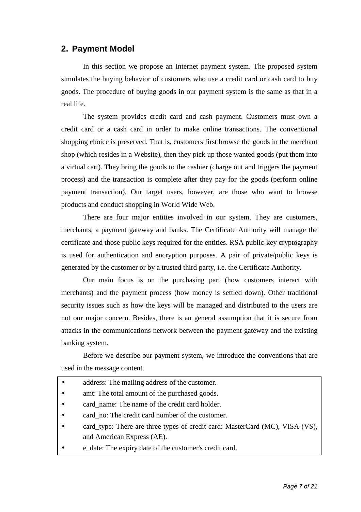### **2. Payment Model**

In this section we propose an Internet payment system. The proposed system simulates the buying behavior of customers who use a credit card or cash card to buy goods. The procedure of buying goods in our payment system is the same as that in a real life.

The system provides credit card and cash payment. Customers must own a credit card or a cash card in order to make online transactions. The conventional shopping choice is preserved. That is, customers first browse the goods in the merchant shop (which resides in a Website), then they pick up those wanted goods (put them into a virtual cart). They bring the goods to the cashier (charge out and triggers the payment process) and the transaction is complete after they pay for the goods (perform online payment transaction). Our target users, however, are those who want to browse products and conduct shopping in World Wide Web.

There are four major entities involved in our system. They are customers, merchants, a payment gateway and banks. The Certificate Authority will manage the certificate and those public keys required for the entities. RSA public-key cryptography is used for authentication and encryption purposes. A pair of private/public keys is generated by the customer or by a trusted third party, i.e. the Certificate Authority.

Our main focus is on the purchasing part (how customers interact with merchants) and the payment process (how money is settled down). Other traditional security issues such as how the keys will be managed and distributed to the users are not our major concern. Besides, there is an general assumption that it is secure from attacks in the communications network between the payment gateway and the existing banking system.

Before we describe our payment system, we introduce the conventions that are used in the message content.

| $\bullet$ | address: The mailing address of the customer.                                |
|-----------|------------------------------------------------------------------------------|
| $\bullet$ | amt: The total amount of the purchased goods.                                |
| $\bullet$ | card name: The name of the credit card holder.                               |
| $\bullet$ | card_no: The credit card number of the customer.                             |
| $\bullet$ | card_type: There are three types of credit card: MasterCard (MC), VISA (VS), |
|           | and American Express (AE).                                                   |
|           | e_date: The expiry date of the customer's credit card.                       |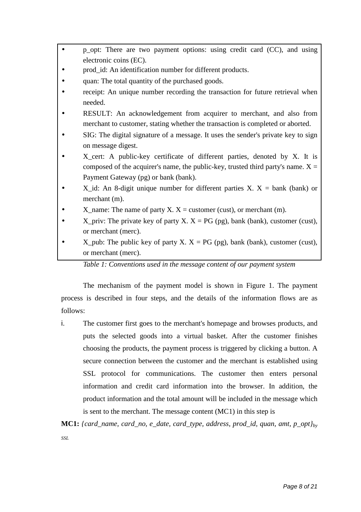- p\_opt: There are two payment options: using credit card (CC), and using electronic coins (EC).
- prod id: An identification number for different products.
- quan: The total quantity of the purchased goods.
- receipt: An unique number recording the transaction for future retrieval when needed.
- RESULT: An acknowledgement from acquirer to merchant, and also from merchant to customer, stating whether the transaction is completed or aborted.
- SIG: The digital signature of a message. It uses the sender's private key to sign on message digest.
- X\_cert: A public-key certificate of different parties, denoted by X. It is composed of the acquirer's name, the public-key, trusted third party's name.  $X =$ Payment Gateway (pg) or bank (bank).
- X id: An 8-digit unique number for different parties X.  $X =$  bank (bank) or merchant (m).
- X name: The name of party X.  $X =$  customer (cust), or merchant (m).
- X\_priv: The private key of party X.  $X = PG$  (pg), bank (bank), customer (cust), or merchant (merc).
- $X$ \_pub: The public key of party  $X$ .  $X = PG$  (pg), bank (bank), customer (cust), or merchant (merc).

*Table 1: Conventions used in the message content of our payment system*

The mechanism of the payment model is shown in Figure 1. The payment process is described in four steps, and the details of the information flows are as follows:

- i. The customer first goes to the merchant's homepage and browses products, and puts the selected goods into a virtual basket. After the customer finishes choosing the products, the payment process is triggered by clicking a button. A secure connection between the customer and the merchant is established using SSL protocol for communications. The customer then enters personal information and credit card information into the browser. In addition, the product information and the total amount will be included in the message which is sent to the merchant. The message content (MC1) in this step is
- **MC1:** *{card\_name, card\_no, e\_date, card\_type, address, prod\_id, quan, amt, p\_opt}by SSL*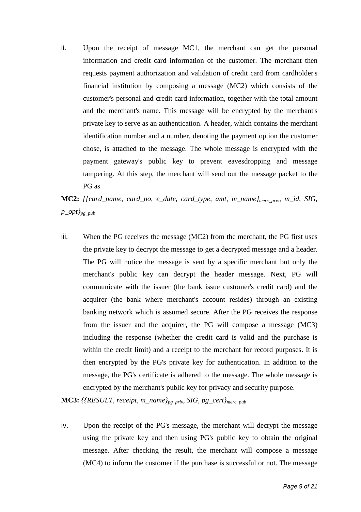ii. Upon the receipt of message MC1, the merchant can get the personal information and credit card information of the customer. The merchant then requests payment authorization and validation of credit card from cardholder's financial institution by composing a message (MC2) which consists of the customer's personal and credit card information, together with the total amount and the merchant's name. This message will be encrypted by the merchant's private key to serve as an authentication. A header, which contains the merchant identification number and a number, denoting the payment option the customer chose, is attached to the message. The whole message is encrypted with the payment gateway's public key to prevent eavesdropping and message tampering. At this step, the merchant will send out the message packet to the PG as

**MC2:** *{{card\_name, card\_no, e\_date, card\_type, amt, m\_name}merc\_priv, m\_id, SIG, p\_opt}pg\_pub*

iii. When the PG receives the message (MC2) from the merchant, the PG first uses the private key to decrypt the message to get a decrypted message and a header. The PG will notice the message is sent by a specific merchant but only the merchant's public key can decrypt the header message. Next, PG will communicate with the issuer (the bank issue customer's credit card) and the acquirer (the bank where merchant's account resides) through an existing banking network which is assumed secure. After the PG receives the response from the issuer and the acquirer, the PG will compose a message (MC3) including the response (whether the credit card is valid and the purchase is within the credit limit) and a receipt to the merchant for record purposes. It is then encrypted by the PG's private key for authentication. In addition to the message, the PG's certificate is adhered to the message. The whole message is encrypted by the merchant's public key for privacy and security purpose.

**MC3:** *{{RESULT, receipt, m\_name}pg\_priv, SIG, pg\_cert}merc\_pub*

iv. Upon the receipt of the PG's message, the merchant will decrypt the message using the private key and then using PG's public key to obtain the original message. After checking the result, the merchant will compose a message (MC4) to inform the customer if the purchase is successful or not. The message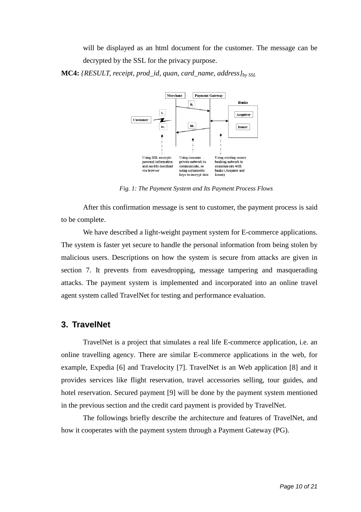will be displayed as an html document for the customer. The message can be decrypted by the SSL for the privacy purpose.

**MC4:** *{RESULT, receipt, prod\_id, quan, card\_name, address}by SSL*



*Fig. 1: The Payment System and Its Payment Process Flows*

After this confirmation message is sent to customer, the payment process is said to be complete.

We have described a light-weight payment system for E-commerce applications. The system is faster yet secure to handle the personal information from being stolen by malicious users. Descriptions on how the system is secure from attacks are given in section 7. It prevents from eavesdropping, message tampering and masquerading attacks. The payment system is implemented and incorporated into an online travel agent system called TravelNet for testing and performance evaluation.

### **3. TravelNet**

TravelNet is a project that simulates a real life E-commerce application, i.e. an online travelling agency. There are similar E-commerce applications in the web, for example, Expedia [6] and Travelocity [7]. TravelNet is an Web application [8] and it provides services like flight reservation, travel accessories selling, tour guides, and hotel reservation. Secured payment [9] will be done by the payment system mentioned in the previous section and the credit card payment is provided by TravelNet.

The followings briefly describe the architecture and features of TravelNet, and how it cooperates with the payment system through a Payment Gateway (PG).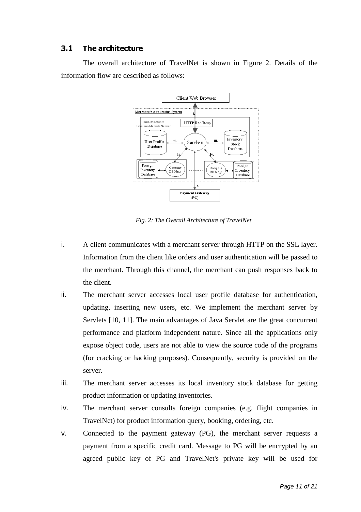### $3.1$ +-,.-/1023.45/365872/

The overall architecture of TravelNet is shown in Figure 2. Details of the information flow are described as follows:



*Fig. 2: The Overall Architecture of TravelNet*

- i. A client communicates with a merchant server through HTTP on the SSL layer. Information from the client like orders and user authentication will be passed to the merchant. Through this channel, the merchant can push responses back to the client.
- ii. The merchant server accesses local user profile database for authentication, updating, inserting new users, etc. We implement the merchant server by Servlets [10, 11]. The main advantages of Java Servlet are the great concurrent performance and platform independent nature. Since all the applications only expose object code, users are not able to view the source code of the programs (for cracking or hacking purposes). Consequently, security is provided on the server.
- iii. The merchant server accesses its local inventory stock database for getting product information or updating inventories.
- iv. The merchant server consults foreign companies (e.g. flight companies in TravelNet) for product information query, booking, ordering, etc.
- v. Connected to the payment gateway (PG), the merchant server requests a payment from a specific credit card. Message to PG will be encrypted by an agreed public key of PG and TravelNet's private key will be used for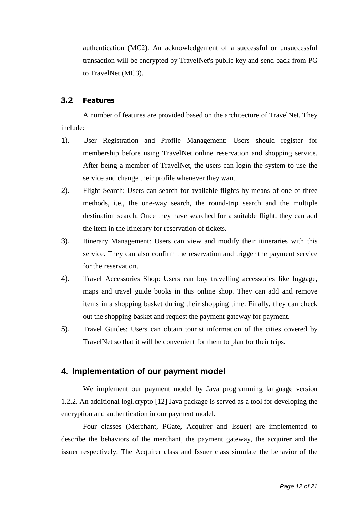authentication (MC2). An acknowledgement of a successful or unsuccessful transaction will be encrypted by TravelNet's public key and send back from PG to TravelNet (MC3).

#### 9:;=<6>-?@8AB>-C

A number of features are provided based on the architecture of TravelNet. They include:

- 1). User Registration and Profile Management: Users should register for membership before using TravelNet online reservation and shopping service. After being a member of TravelNet, the users can login the system to use the service and change their profile whenever they want.
- 2). Flight Search: Users can search for available flights by means of one of three methods, i.e., the one-way search, the round-trip search and the multiple destination search. Once they have searched for a suitable flight, they can add the item in the Itinerary for reservation of tickets.
- 3). Itinerary Management: Users can view and modify their itineraries with this service. They can also confirm the reservation and trigger the payment service for the reservation.
- 4). Travel Accessories Shop: Users can buy travelling accessories like luggage, maps and travel guide books in this online shop. They can add and remove items in a shopping basket during their shopping time. Finally, they can check out the shopping basket and request the payment gateway for payment.
- 5). Travel Guides: Users can obtain tourist information of the cities covered by TravelNet so that it will be convenient for them to plan for their trips.

### **4. Implementation of our payment model**

We implement our payment model by Java programming language version 1.2.2. An additional logi.crypto [12] Java package is served as a tool for developing the encryption and authentication in our payment model.

Four classes (Merchant, PGate, Acquirer and Issuer) are implemented to describe the behaviors of the merchant, the payment gateway, the acquirer and the issuer respectively. The Acquirer class and Issuer class simulate the behavior of the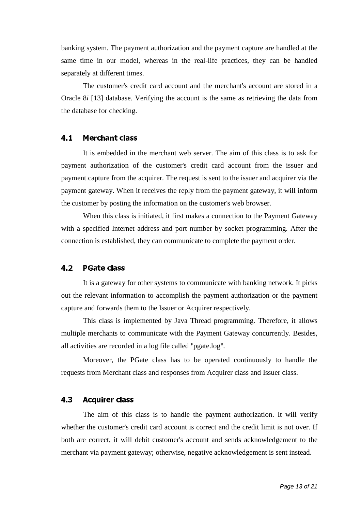banking system. The payment authorization and the payment capture are handled at the same time in our model, whereas in the real-life practices, they can be handled separately at different times.

The customer's credit card account and the merchant's account are stored in a Oracle 8*i* [13] database. Verifying the account is the same as retrieving the data from the database for checking.

#### $\mathbf{A}$ . 1 Ghadhamada a shekara a shekara a shekara a shekara a shekara a shekara a shekara a shekara a shekara a shekara

It is embedded in the merchant web server. The aim of this class is to ask for payment authorization of the customer's credit card account from the issuer and payment capture from the acquirer. The request is sent to the issuer and acquirer via the payment gateway. When it receives the reply from the payment gateway, it will inform the customer by posting the information on the customer's web browser.

When this class is initiated, it first makes a connection to the Payment Gateway with a specified Internet address and port number by socket programming. After the connection is established, they can communicate to complete the payment order.

#### $4.2$ SUTVIVIDE SUITE AND RESIDENCE AND RESIDENCE AND RESIDENCE AND RESIDENCE AND RESIDENCE AND RESIDENCE AND RESIDENCE AND RESIDENCE AND RESIDENCE AND RESIDENCE AND RESIDENCE AND RESIDENCE AND RESIDENCE AND RESIDENCE AND RESIDE

It is a gateway for other systems to communicate with banking network. It picks out the relevant information to accomplish the payment authorization or the payment capture and forwards them to the Issuer or Acquirer respectively.

This class is implemented by Java Thread programming. Therefore, it allows multiple merchants to communicate with the Payment Gateway concurrently. Besides, all activities are recorded in a  $log$  file called "pgate. $log$ ".

Moreover, the PGate class has to be operated continuously to handle the requests from Merchant class and responses from Acquirer class and Issuer class.

#### $4.3$  $\mathcal{L}_\mathbf{R}$  and  $\mathcal{L}_\mathbf{R}$  and  $\mathcal{L}_\mathbf{R}$  and  $\mathcal{L}_\mathbf{R}$  and  $\mathcal{L}_\mathbf{R}$  and  $\mathcal{L}_\mathbf{R}$  and  $\mathcal{L}_\mathbf{R}$  and  $\mathcal{L}_\mathbf{R}$  and  $\mathcal{L}_\mathbf{R}$  and  $\mathcal{L}_\mathbf{R}$  and  $\mathcal{L}_\mathbf{R}$  and  $\mathcal{L}_\mathbf{R$

The aim of this class is to handle the payment authorization. It will verify whether the customer's credit card account is correct and the credit limit is not over. If both are correct, it will debit customer's account and sends acknowledgement to the merchant via payment gateway; otherwise, negative acknowledgement is sent instead.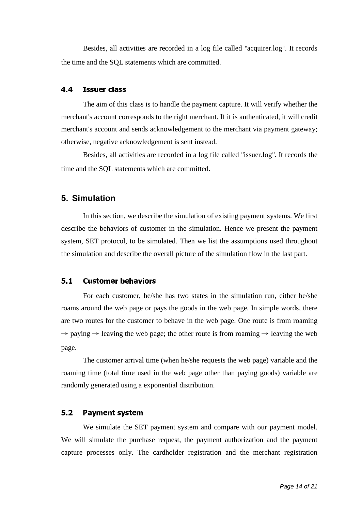Besides, all activities are recorded in a log file called "acquirer.log". It records the time and the SQL statements which are committed.

The aim of this class is to handle the payment capture. It will verify whether the merchant's account corresponds to the right merchant. If it is authenticated, it will credit merchant's account and sends acknowledgement to the merchant via payment gateway; otherwise, negative acknowledgement is sent instead.

Besides, all activities are recorded in a log file called "issuer.log". It records the time and the SQL statements which are committed.

### **5. Simulation**

In this section, we describe the simulation of existing payment systems. We first describe the behaviors of customer in the simulation. Hence we present the payment system, SET protocol, to be simulated. Then we list the assumptions used throughout the simulation and describe the overall picture of the simulation flow in the last part.

#### $5.1$ lnme-d8opq(fgr-fs-j tupgd

For each customer, he/she has two states in the simulation run, either he/she roams around the web page or pays the goods in the web page. In simple words, there are two routes for the customer to behave in the web page. One route is from roaming  $\rightarrow$  paying  $\rightarrow$  leaving the web page; the other route is from roaming  $\rightarrow$  leaving the web page.

The customer arrival time (when he/she requests the web page) variable and the roaming time (total time used in the web page other than paying goods) variable are randomly generated using a exponential distribution.

#### $5.2$ wuxi ya kuma kwa kuma kwa kuma kuma kwa kuma kwa kuma kwa kuma kuma kwa kuma kwa kuma kwa kuma kwa kuma kwa ku

We simulate the SET payment system and compare with our payment model. We will simulate the purchase request, the payment authorization and the payment capture processes only. The cardholder registration and the merchant registration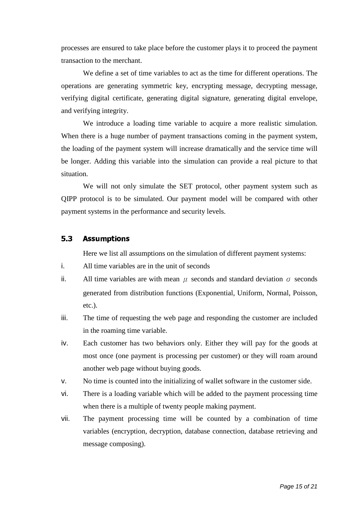processes are ensured to take place before the customer plays it to proceed the payment transaction to the merchant.

We define a set of time variables to act as the time for different operations. The operations are generating symmetric key, encrypting message, decrypting message, verifying digital certificate, generating digital signature, generating digital envelope, and verifying integrity.

We introduce a loading time variable to acquire a more realistic simulation. When there is a huge number of payment transactions coming in the payment system, the loading of the payment system will increase dramatically and the service time will be longer. Adding this variable into the simulation can provide a real picture to that situation.

We will not only simulate the SET protocol, other payment system such as QIPP protocol is to be simulated. Our payment model will be compared with other payment systems in the performance and security levels.

### 5.3 }~F6 8-

Here we list all assumptions on the simulation of different payment systems:

- i. All time variables are in the unit of seconds
- ii. All time variables are with mean  $\mu$  seconds and standard deviation  $\sigma$  seconds generated from distribution functions (Exponential, Uniform, Normal, Poisson, etc.).
- iii. The time of requesting the web page and responding the customer are included in the roaming time variable.
- iv. Each customer has two behaviors only. Either they will pay for the goods at most once (one payment is processing per customer) or they will roam around another web page without buying goods.
- v. No time is counted into the initializing of wallet software in the customer side.
- vi. There is a loading variable which will be added to the payment processing time when there is a multiple of twenty people making payment.
- vii. The payment processing time will be counted by a combination of time variables (encryption, decryption, database connection, database retrieving and message composing).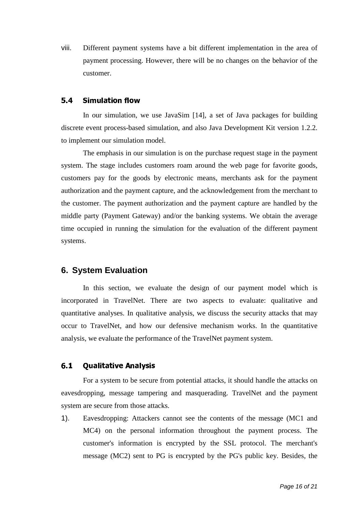viii. Different payment systems have a bit different implementation in the area of payment processing. However, there will be no changes on the behavior of the customer.

In our simulation, we use JavaSim [14], a set of Java packages for building discrete event process-based simulation, and also Java Development Kit version 1.2.2. to implement our simulation model.

The emphasis in our simulation is on the purchase request stage in the payment system. The stage includes customers roam around the web page for favorite goods, customers pay for the goods by electronic means, merchants ask for the payment authorization and the payment capture, and the acknowledgement from the merchant to the customer. The payment authorization and the payment capture are handled by the middle party (Payment Gateway) and/or the banking systems. We obtain the average time occupied in running the simulation for the evaluation of the different payment systems.

### **6. System Evaluation**

In this section, we evaluate the design of our payment model which is incorporated in TravelNet. There are two aspects to evaluate: qualitative and quantitative analyses. In qualitative analysis, we discuss the security attacks that may occur to TravelNet, and how our defensive mechanism works. In the quantitative analysis, we evaluate the performance of the TravelNet payment system.

#### \_\_\_ n- 8J%- \

For a system to be secure from potential attacks, it should handle the attacks on eavesdropping, message tampering and masquerading. TravelNet and the payment system are secure from those attacks.

1). Eavesdropping: Attackers cannot see the contents of the message (MC1 and MC4) on the personal information throughout the payment process. The customer's information is encrypted by the SSL protocol. The merchant's message (MC2) sent to PG is encrypted by the PG's public key. Besides, the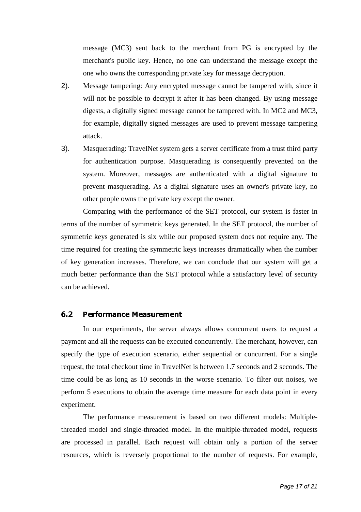message (MC3) sent back to the merchant from PG is encrypted by the merchant's public key. Hence, no one can understand the message except the one who owns the corresponding private key for message decryption.

- 2). Message tampering: Any encrypted message cannot be tampered with, since it will not be possible to decrypt it after it has been changed. By using message digests, a digitally signed message cannot be tampered with. In MC2 and MC3, for example, digitally signed messages are used to prevent message tampering attack.
- 3). Masquerading: TravelNet system gets a server certificate from a trust third party for authentication purpose. Masquerading is consequently prevented on the system. Moreover, messages are authenticated with a digital signature to prevent masquerading. As a digital signature uses an owner's private key, no other people owns the private key except the owner.

Comparing with the performance of the SET protocol, our system is faster in terms of the number of symmetric keys generated. In the SET protocol, the number of symmetric keys generated is six while our proposed system does not require any. The time required for creating the symmetric keys increases dramatically when the number of key generation increases. Therefore, we can conclude that our system will get a much better performance than the SET protocol while a satisfactory level of security can be achieved.

#### $6.2$ £U¤¥¦§¨¦©#ª«-¬\¥#J¥ª®\¯¦¥©(¥«°

In our experiments, the server always allows concurrent users to request a payment and all the requests can be executed concurrently. The merchant, however, can specify the type of execution scenario, either sequential or concurrent. For a single request, the total checkout time in TravelNet is between 1.7 seconds and 2 seconds. The time could be as long as 10 seconds in the worse scenario. To filter out noises, we perform 5 executions to obtain the average time measure for each data point in every experiment.

The performance measurement is based on two different models: Multiplethreaded model and single-threaded model. In the multiple-threaded model, requests are processed in parallel. Each request will obtain only a portion of the server resources, which is reversely proportional to the number of requests. For example,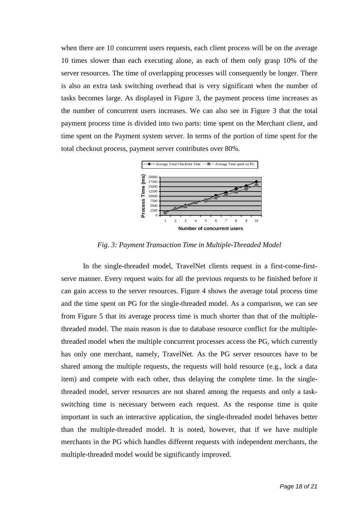when there are 10 concurrent users requests, each client process will be on the average 10 times slower than each executing alone, as each of them only grasp 10% of the server resources. The time of overlapping processes will consequently be longer. There is also an extra task switching overhead that is very significant when the number of tasks becomes large. As displayed in Figure 3, the payment process time increases as the number of concurrent users increases. We can also see in Figure 3 that the total payment process time is divided into two parts: time spent on the Merchant client, and time spent on the Payment system server. In terms of the portion of time spent for the total checkout process, payment server contributes over 80%.



*Fig. 3: Payment Transaction Time in Multiple-Threaded Model*

In the single-threaded model, TravelNet clients request in a first-come-firstserve manner. Every request waits for all the previous requests to be finished before it can gain access to the server resources. Figure 4 shows the average total process time and the time spent on PG for the single-threaded model. As a comparison, we can see from Figure 5 that its average process time is much shorter than that of the multiplethreaded model. The main reason is due to database resource conflict for the multiplethreaded model when the multiple concurrent processes access the PG, which currently has only one merchant, namely, TravelNet. As the PG server resources have to be shared among the multiple requests, the requests will hold resource (e.g., lock a data item) and compete with each other, thus delaying the complete time. In the singlethreaded model, server resources are not shared among the requests and only a taskswitching time is necessary between each request. As the response time is quite important in such an interactive application, the single-threaded model behaves better than the multiple-threaded model. It is noted, however, that if we have multiple merchants in the PG which handles different requests with independent merchants, the multiple-threaded model would be significantly improved.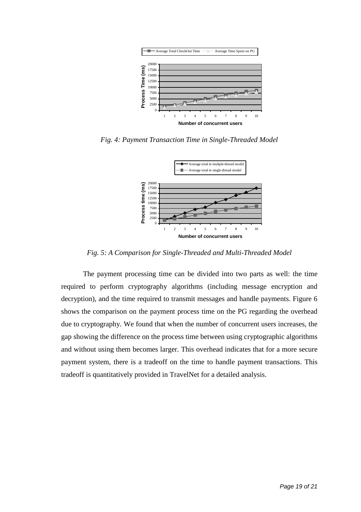

*Fig. 4: Payment Transaction Time in Single-Threaded Model*



*Fig. 5: A Comparison for Single-Threaded and Multi-Threaded Model*

The payment processing time can be divided into two parts as well: the time required to perform cryptography algorithms (including message encryption and decryption), and the time required to transmit messages and handle payments. Figure 6 shows the comparison on the payment process time on the PG regarding the overhead due to cryptography. We found that when the number of concurrent users increases, the gap showing the difference on the process time between using cryptographic algorithms and without using them becomes larger. This overhead indicates that for a more secure payment system, there is a tradeoff on the time to handle payment transactions. This tradeoff is quantitatively provided in TravelNet for a detailed analysis.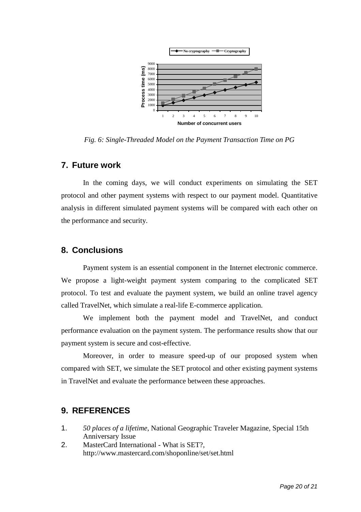

*Fig. 6: Single-Threaded Model on the Payment Transaction Time on PG*

### **7. Future work**

In the coming days, we will conduct experiments on simulating the SET protocol and other payment systems with respect to our payment model. Quantitative analysis in different simulated payment systems will be compared with each other on the performance and security.

### **8. Conclusions**

Payment system is an essential component in the Internet electronic commerce. We propose a light-weight payment system comparing to the complicated SET protocol. To test and evaluate the payment system, we build an online travel agency called TravelNet, which simulate a real-life E-commerce application.

We implement both the payment model and TravelNet, and conduct performance evaluation on the payment system. The performance results show that our payment system is secure and cost-effective.

Moreover, in order to measure speed-up of our proposed system when compared with SET, we simulate the SET protocol and other existing payment systems in TravelNet and evaluate the performance between these approaches.

### **9. REFERENCES**

- 1. *50 places of a lifetime*, National Geographic Traveler Magazine, Special 15th Anniversary Issue
- 2. MasterCard International What is SET?, http://www.mastercard.com/shoponline/set/set.html